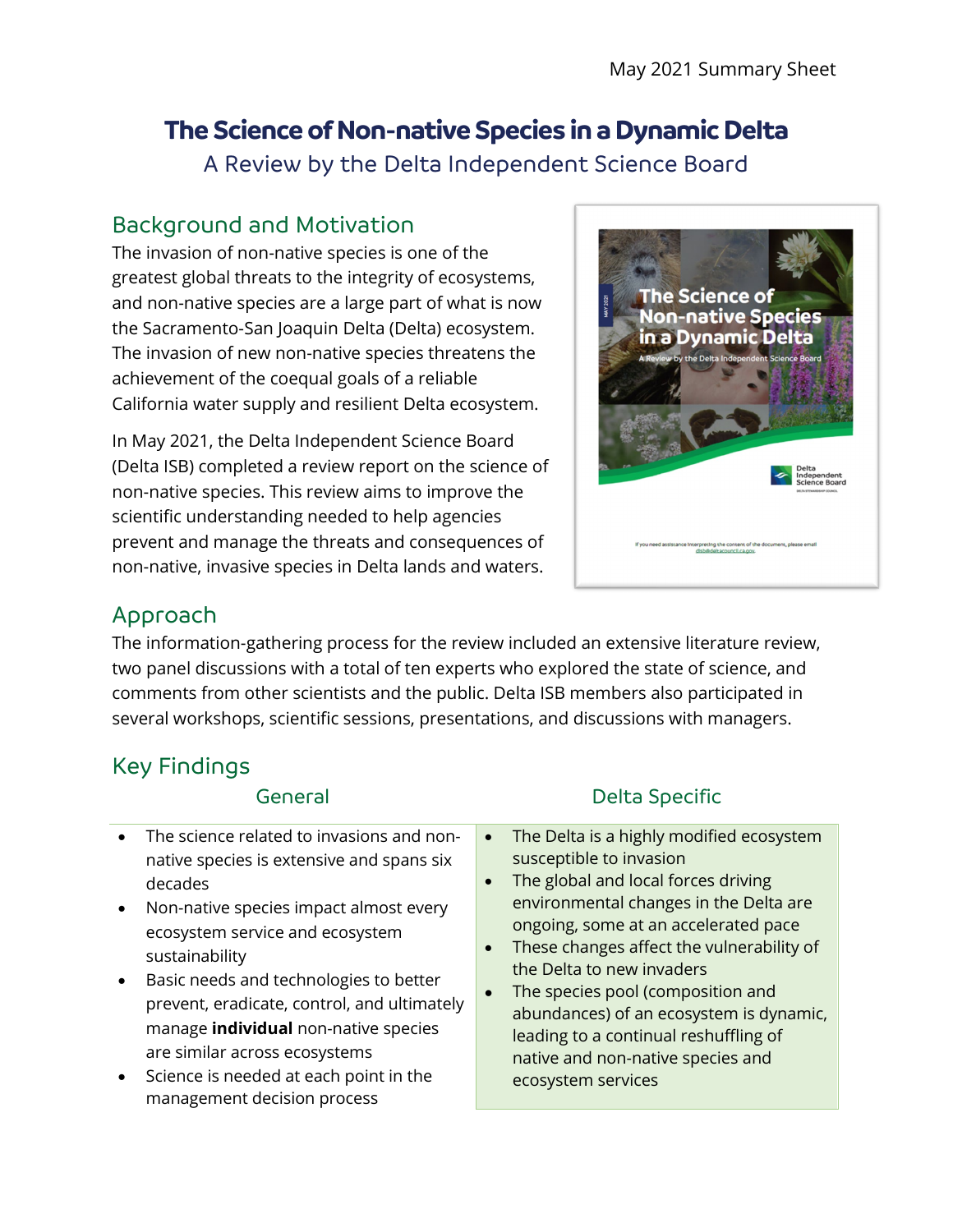# **The Science of Non-native Species in a Dynamic Delta**

A Review by the Delta Independent Science Board

## Background and Motivation

The invasion of non-native species is one of the greatest global threats to the integrity of ecosystems, and non-native species are a large part of what is now the Sacramento-San Joaquin Delta (Delta) ecosystem. The invasion of new non-native species threatens the achievement of the coequal goals of a reliable California water supply and resilient Delta ecosystem.

In May 2021, the Delta Independent Science Board (Delta ISB) completed a review report on the science of non-native species. This review aims to improve the scientific understanding needed to help agencies prevent and manage the threats and consequences of non-native, invasive species in Delta lands and waters.



## Approach

The information-gathering process for the review included an extensive literature review, two panel discussions with a total of ten experts who explored the state of science, and comments from other scientists and the public. Delta ISB members also participated in several workshops, scientific sessions, presentations, and discussions with managers.

## Key Findings

#### General

- The science related to invasions and nonnative species is extensive and spans six decades
- Non-native species impact almost every ecosystem service and ecosystem sustainability
- Basic needs and technologies to better prevent, eradicate, control, and ultimately manage **individual** non-native species are similar across ecosystems
- Science is needed at each point in the management decision process

### Delta Specific

- The Delta is a highly modified ecosystem susceptible to invasion
- The global and local forces driving environmental changes in the Delta are ongoing, some at an accelerated pace
- These changes affect the vulnerability of the Delta to new invaders
- The species pool (composition and abundances) of an ecosystem is dynamic, leading to a continual reshuffling of native and non-native species and ecosystem services